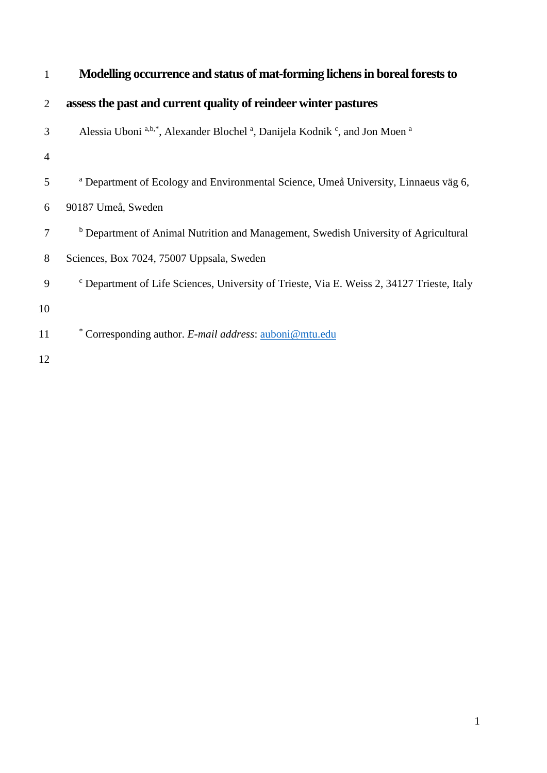| $\mathbf{1}$   | Modelling occurrence and status of mat-forming lichens in boreal forests to                                    |
|----------------|----------------------------------------------------------------------------------------------------------------|
| $\overline{2}$ | assess the past and current quality of reindeer winter pastures                                                |
| 3              | Alessia Uboni a,b,*, Alexander Blochel <sup>a</sup> , Danijela Kodnik <sup>c</sup> , and Jon Moen <sup>a</sup> |
| 4              |                                                                                                                |
| 5              | <sup>a</sup> Department of Ecology and Environmental Science, Umeå University, Linnaeus väg 6,                 |
| 6              | 90187 Umeå, Sweden                                                                                             |
| 7              | <sup>b</sup> Department of Animal Nutrition and Management, Swedish University of Agricultural                 |
| 8              | Sciences, Box 7024, 75007 Uppsala, Sweden                                                                      |
| 9              | <sup>c</sup> Department of Life Sciences, University of Trieste, Via E. Weiss 2, 34127 Trieste, Italy          |
| 10             |                                                                                                                |
| 11             | * Corresponding author. E-mail address: auboni@mtu.edu                                                         |
| 12             |                                                                                                                |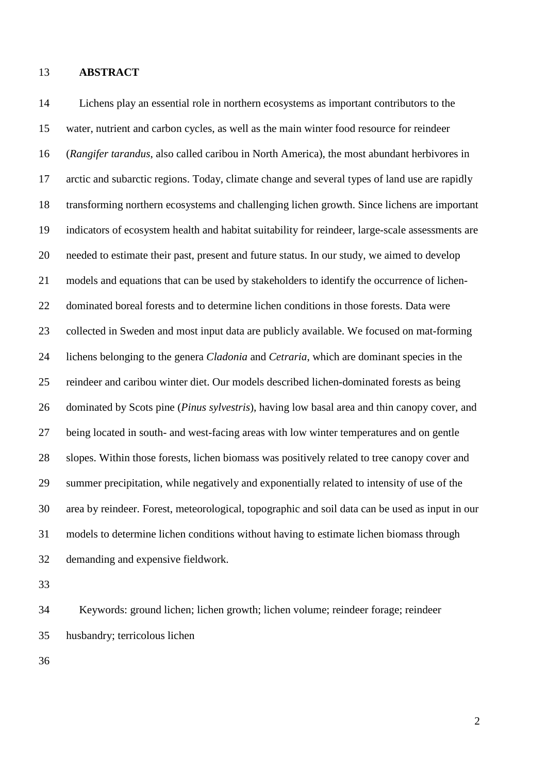## **ABSTRACT**

 Lichens play an essential role in northern ecosystems as important contributors to the water, nutrient and carbon cycles, as well as the main winter food resource for reindeer (*Rangifer tarandus*, also called caribou in North America), the most abundant herbivores in arctic and subarctic regions. Today, climate change and several types of land use are rapidly transforming northern ecosystems and challenging lichen growth. Since lichens are important indicators of ecosystem health and habitat suitability for reindeer, large-scale assessments are needed to estimate their past, present and future status. In our study, we aimed to develop models and equations that can be used by stakeholders to identify the occurrence of lichen- dominated boreal forests and to determine lichen conditions in those forests. Data were collected in Sweden and most input data are publicly available. We focused on mat-forming lichens belonging to the genera *Cladonia* and *Cetraria*, which are dominant species in the reindeer and caribou winter diet. Our models described lichen-dominated forests as being dominated by Scots pine (*Pinus sylvestris*), having low basal area and thin canopy cover, and being located in south- and west-facing areas with low winter temperatures and on gentle slopes. Within those forests, lichen biomass was positively related to tree canopy cover and summer precipitation, while negatively and exponentially related to intensity of use of the area by reindeer. Forest, meteorological, topographic and soil data can be used as input in our models to determine lichen conditions without having to estimate lichen biomass through demanding and expensive fieldwork.

 Keywords: ground lichen; lichen growth; lichen volume; reindeer forage; reindeer husbandry; terricolous lichen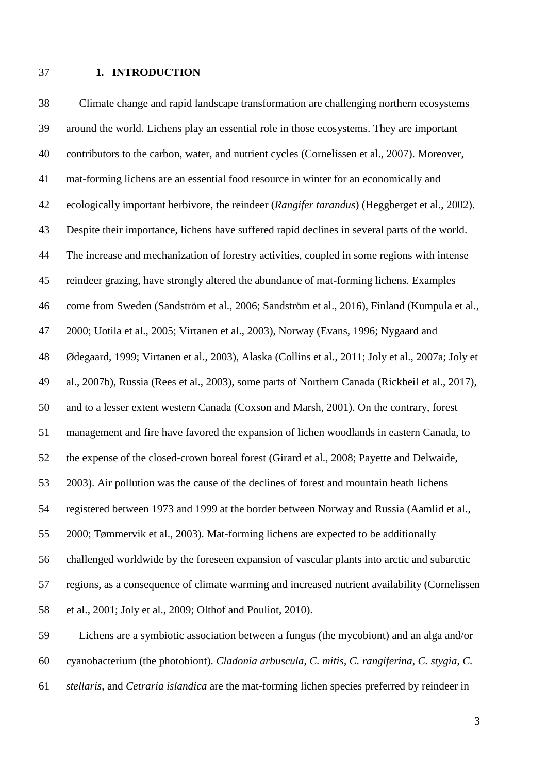## **1. INTRODUCTION**

 Climate change and rapid landscape transformation are challenging northern ecosystems around the world. Lichens play an essential role in those ecosystems. They are important contributors to the carbon, water, and nutrient cycles [\(Cornelissen et al., 2007\)](#page-25-0). Moreover, mat-forming lichens are an essential food resource in winter for an economically and ecologically important herbivore, the reindeer (*Rangifer tarandus*) [\(Heggberget et al., 2002\)](#page-27-0). Despite their importance, lichens have suffered rapid declines in several parts of the world. The increase and mechanization of forestry activities, coupled in some regions with intense reindeer grazing, have strongly altered the abundance of mat-forming lichens. Examples come from Sweden [\(Sandström et al., 2006;](#page-29-0) [Sandström et al., 2016\)](#page-29-1), Finland [\(Kumpula et al.,](#page-27-1)  [2000;](#page-27-1) [Uotila et al., 2005;](#page-29-2) [Virtanen et al., 2003\)](#page-30-0), Norway [\(Evans, 1996;](#page-26-0) [Nygaard and](#page-28-0)  [Ødegaard, 1999;](#page-28-0) [Virtanen et al., 2003\)](#page-30-0), Alaska [\(Collins et al., 2011;](#page-25-1) [Joly et al., 2007a;](#page-27-2) [Joly et](#page-27-3)  [al., 2007b\)](#page-27-3), Russia [\(Rees et al., 2003\)](#page-28-1), some parts of Northern Canada [\(Rickbeil et al., 2017\)](#page-28-2), and to a lesser extent western Canada [\(Coxson and Marsh, 2001\)](#page-26-1). On the contrary, forest management and fire have favored the expansion of lichen woodlands in eastern Canada, to the expense of the closed-crown boreal forest [\(Girard et al., 2008;](#page-26-2) [Payette and Delwaide,](#page-28-3)  [2003\)](#page-28-3). Air pollution was the cause of the declines of forest and mountain heath lichens registered between 1973 and 1999 at the border between Norway and Russia [\(Aamlid et al.,](#page-24-0)  [2000;](#page-24-0) [Tømmervik et al., 2003\)](#page-29-3). Mat-forming lichens are expected to be additionally challenged worldwide by the foreseen expansion of vascular plants into arctic and subarctic regions, as a consequence of climate warming and increased nutrient availability [\(Cornelissen](#page-26-3)  [et al., 2001;](#page-26-3) [Joly et al., 2009;](#page-27-4) [Olthof and Pouliot, 2010\)](#page-28-4). Lichens are a symbiotic association between a fungus (the mycobiont) and an alga and/or

cyanobacterium (the photobiont). *Cladonia arbuscula*, *C. mitis*, *C. rangiferina*, *C. stygia*, *C.* 

*stellaris*, and *Cetraria islandica* are the mat-forming lichen species preferred by reindeer in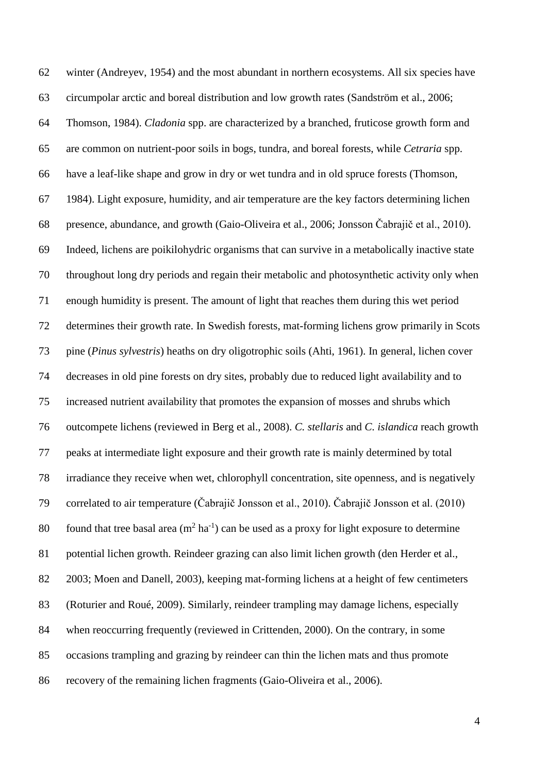winter [\(Andreyev, 1954\)](#page-24-1) and the most abundant in northern ecosystems. All six species have circumpolar arctic and boreal distribution and low growth rates [\(Sandström et al., 2006;](#page-29-0) [Thomson, 1984\)](#page-29-4). *Cladonia* spp. are characterized by a branched, fruticose growth form and are common on nutrient-poor soils in bogs, tundra, and boreal forests, while *Cetraria* spp. have a leaf-like shape and grow in dry or wet tundra and in old spruce forests [\(Thomson,](#page-29-4)  [1984\)](#page-29-4). Light exposure, humidity, and air temperature are the key factors determining lichen presence, abundance, and growth [\(Gaio-Oliveira et al., 2006;](#page-26-4) Jonsso[n Čabrajič et al., 2010](#page-27-5)). Indeed, lichens are poikilohydric organisms that can survive in a metabolically inactive state throughout long dry periods and regain their metabolic and photosynthetic activity only when enough humidity is present. The amount of light that reaches them during this wet period determines their growth rate. In Swedish forests, mat-forming lichens grow primarily in Scots pine (*Pinus sylvestris*) heaths on dry oligotrophic soils [\(Ahti, 1961\)](#page-24-2). In general, lichen cover decreases in old pine forests on dry sites, probably due to reduced light availability and to increased nutrient availability that promotes the expansion of mosses and shrubs which outcompete lichens [\(reviewed in Berg et al., 2008\)](#page-25-2). *C. stellaris* and *C. islandica* reach growth peaks at intermediate light exposure and their growth rate is mainly determined by total irradiance they receive when wet, chlorophyll concentration, site openness, and is negatively correlated to air temperature ([Čabrajič Jonsson et al., 2010](#page-25-3)). Čabrajič Jonsson et al. (2010) 80 found that tree basal area  $(m^2 \text{ ha}^{-1})$  can be used as a proxy for light exposure to determine potential lichen growth. Reindeer grazing can also limit lichen growth [\(den Herder et al.,](#page-26-5)  [2003;](#page-26-5) [Moen and Danell, 2003\)](#page-27-6), keeping mat-forming lichens at a height of few centimeters [\(Roturier and Roué, 2009\)](#page-28-5). Similarly, reindeer trampling may damage lichens, especially when reoccurring frequently [\(reviewed in Crittenden, 2000\)](#page-26-6). On the contrary, in some occasions trampling and grazing by reindeer can thin the lichen mats and thus promote recovery of the remaining lichen fragments [\(Gaio-Oliveira et al., 2006\)](#page-26-4).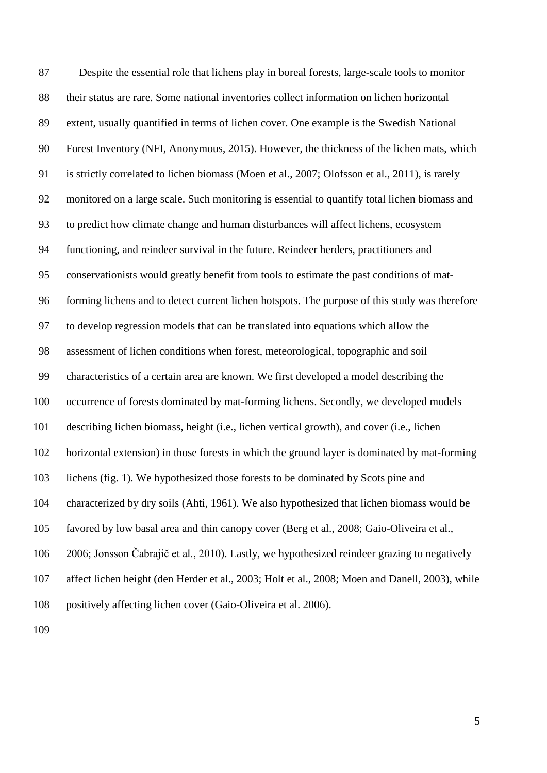Despite the essential role that lichens play in boreal forests, large-scale tools to monitor their status are rare. Some national inventories collect information on lichen horizontal extent, usually quantified in terms of lichen cover. One example is the Swedish National Forest Inventory [\(NFI, Anonymous, 2015\)](#page-24-3). However, the thickness of the lichen mats, which is strictly correlated to lichen biomass [\(Moen et al., 2007;](#page-27-7) [Olofsson et al., 2011\)](#page-28-6), is rarely monitored on a large scale. Such monitoring is essential to quantify total lichen biomass and to predict how climate change and human disturbances will affect lichens, ecosystem functioning, and reindeer survival in the future. Reindeer herders, practitioners and conservationists would greatly benefit from tools to estimate the past conditions of mat- forming lichens and to detect current lichen hotspots. The purpose of this study was therefore to develop regression models that can be translated into equations which allow the assessment of lichen conditions when forest, meteorological, topographic and soil characteristics of a certain area are known. We first developed a model describing the occurrence of forests dominated by mat-forming lichens. Secondly, we developed models describing lichen biomass, height (i.e., lichen vertical growth), and cover (i.e., lichen horizontal extension) in those forests in which the ground layer is dominated by mat-forming lichens (fig. 1). We hypothesized those forests to be dominated by Scots pine and characterized by dry soils [\(Ahti, 1961\)](#page-24-2). We also hypothesized that lichen biomass would be favored by low basal area and thin canopy cover [\(Berg et al., 2008;](#page-25-2) [Gaio-Oliveira et al.,](#page-26-4)  [2006;](#page-26-4) [Jonsson Čabrajič et al., 2010](#page-27-5)). Lastly, we hypothesized reindeer grazing to negatively affect lichen height (den Herder et al., 2003; Holt et al., 2008; Moen and Danell, 2003), while positively affecting lichen cover (Gaio-Oliveira et al. 2006).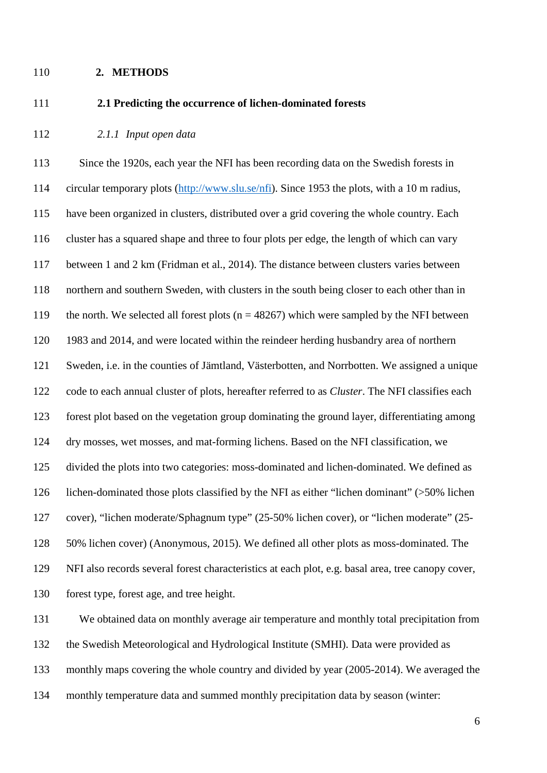### **2. METHODS**

<span id="page-5-1"></span>

## **2.1 Predicting the occurrence of lichen-dominated forests**

<span id="page-5-0"></span>*2.1.1 Input open data*

113 Since the 1920s, each year the NFI has been recording data on the Swedish forests in circular temporary plots [\(http://www.slu.se/nfi\)](http://www.slu.se/nfi). Since 1953 the plots, with a 10 m radius, have been organized in clusters, distributed over a grid covering the whole country. Each cluster has a squared shape and three to four plots per edge, the length of which can vary between 1 and 2 km [\(Fridman et al., 2014\)](#page-26-7). The distance between clusters varies between northern and southern Sweden, with clusters in the south being closer to each other than in 119 the north. We selected all forest plots ( $n = 48267$ ) which were sampled by the NFI between 1983 and 2014, and were located within the reindeer herding husbandry area of northern Sweden, i.e. in the counties of Jämtland, Västerbotten, and Norrbotten. We assigned a unique code to each annual cluster of plots, hereafter referred to as *Cluster*. The NFI classifies each forest plot based on the vegetation group dominating the ground layer, differentiating among dry mosses, wet mosses, and mat-forming lichens. Based on the NFI classification, we divided the plots into two categories: moss-dominated and lichen-dominated. We defined as lichen-dominated those plots classified by the NFI as either "lichen dominant" (>50% lichen cover), "lichen moderate/Sphagnum type" (25-50% lichen cover), or "lichen moderate" (25- 50% lichen cover) [\(Anonymous, 2015\)](#page-24-3). We defined all other plots as moss-dominated. The NFI also records several forest characteristics at each plot, e.g. basal area, tree canopy cover, forest type, forest age, and tree height.

 We obtained data on monthly average air temperature and monthly total precipitation from the Swedish Meteorological and Hydrological Institute (SMHI). Data were provided as monthly maps covering the whole country and divided by year (2005-2014). We averaged the monthly temperature data and summed monthly precipitation data by season (winter: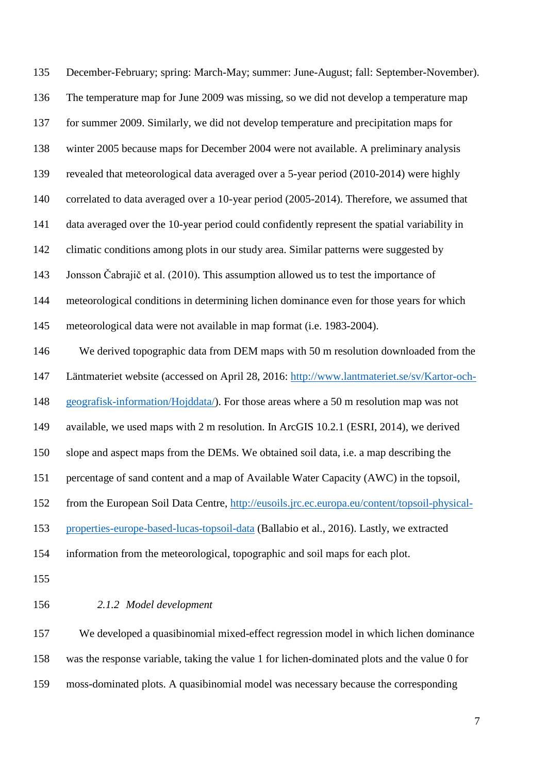December-February; spring: March-May; summer: June-August; fall: September-November). The temperature map for June 2009 was missing, so we did not develop a temperature map for summer 2009. Similarly, we did not develop temperature and precipitation maps for winter 2005 because maps for December 2004 were not available. A preliminary analysis revealed that meteorological data averaged over a 5-year period (2010-2014) were highly correlated to data averaged over a 10-year period (2005-2014). Therefore, we assumed that data averaged over the 10-year period could confidently represent the spatial variability in climatic conditions among plots in our study area. Similar patterns were suggested by Jonsson Čabrajič et al. (2010). This assumption allowed us to test the importance of meteorological conditions in determining lichen dominance even for those years for which meteorological data were not available in map format (i.e. 1983-2004). We derived topographic data from DEM maps with 50 m resolution downloaded from the Läntmateriet website (accessed on April 28, 2016: [http://www.lantmateriet.se/sv/Kartor-och-](http://www.lantmateriet.se/sv/Kartor-och-geografisk-information/Hojddata/) [geografisk-information/Hojddata/\)](http://www.lantmateriet.se/sv/Kartor-och-geografisk-information/Hojddata/). For those areas where a 50 m resolution map was not available, we used maps with 2 m resolution. In ArcGIS 10.2.1 [\(ESRI, 2014\)](#page-26-8), we derived slope and aspect maps from the DEMs. We obtained soil data, i.e. a map describing the percentage of sand content and a map of Available Water Capacity (AWC) in the topsoil, from the European Soil Data Centre, [http://eusoils.jrc.ec.europa.eu/content/topsoil-physical-](http://eusoils.jrc.ec.europa.eu/content/topsoil-physical-properties-europe-based-lucas-topsoil-data) [properties-europe-based-lucas-topsoil-data](http://eusoils.jrc.ec.europa.eu/content/topsoil-physical-properties-europe-based-lucas-topsoil-data) [\(Ballabio et al., 2016\)](#page-25-4). Lastly, we extracted information from the meteorological, topographic and soil maps for each plot. *2.1.2 Model development*

 We developed a quasibinomial mixed-effect regression model in which lichen dominance was the response variable, taking the value 1 for lichen-dominated plots and the value 0 for moss-dominated plots. A quasibinomial model was necessary because the corresponding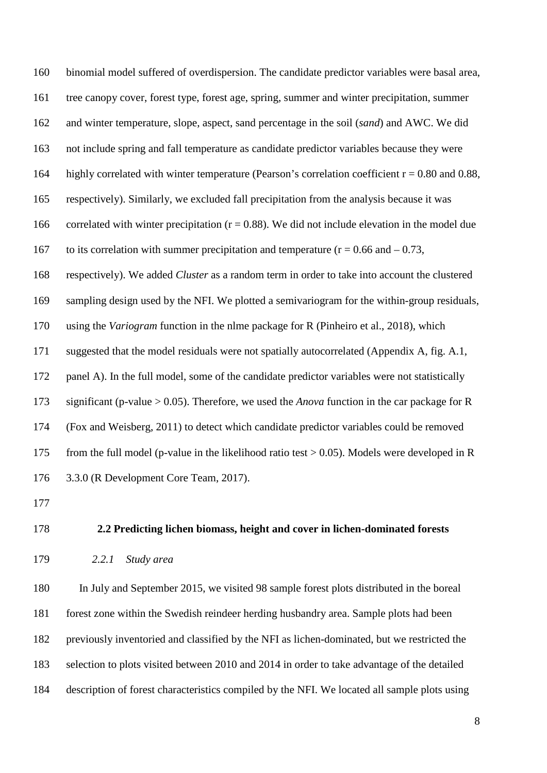binomial model suffered of overdispersion. The candidate predictor variables were basal area, tree canopy cover, forest type, forest age, spring, summer and winter precipitation, summer and winter temperature, slope, aspect, sand percentage in the soil (*sand*) and AWC. We did not include spring and fall temperature as candidate predictor variables because they were 164 highly correlated with winter temperature (Pearson's correlation coefficient  $r = 0.80$  and 0.88, respectively). Similarly, we excluded fall precipitation from the analysis because it was 166 correlated with winter precipitation  $(r = 0.88)$ . We did not include elevation in the model due 167 to its correlation with summer precipitation and temperature ( $r = 0.66$  and  $-0.73$ , respectively). We added *Cluster* as a random term in order to take into account the clustered sampling design used by the NFI. We plotted a semivariogram for the within-group residuals, using the *Variogram* function in the nlme package for R [\(Pinheiro et al., 2018\)](#page-28-7), which suggested that the model residuals were not spatially autocorrelated (Appendix A, fig. A.1, panel A). In the full model, some of the candidate predictor variables were not statistically significant (p-value > 0.05). Therefore, we used the *Anova* function in the car package for R [\(Fox and Weisberg, 2011\)](#page-26-9) to detect which candidate predictor variables could be removed from the full model (p-value in the likelihood ratio test > 0.05). Models were developed in R 3.3.0 [\(R Development Core Team, 2017\)](#page-28-8).

<span id="page-7-0"></span>

## <span id="page-7-1"></span>**2.2 Predicting lichen biomass, height and cover in lichen-dominated forests**

*2.2.1 Study area*

 In July and September 2015, we visited 98 sample forest plots distributed in the boreal forest zone within the Swedish reindeer herding husbandry area. Sample plots had been previously inventoried and classified by the NFI as lichen-dominated, but we restricted the selection to plots visited between 2010 and 2014 in order to take advantage of the detailed description of forest characteristics compiled by the NFI. We located all sample plots using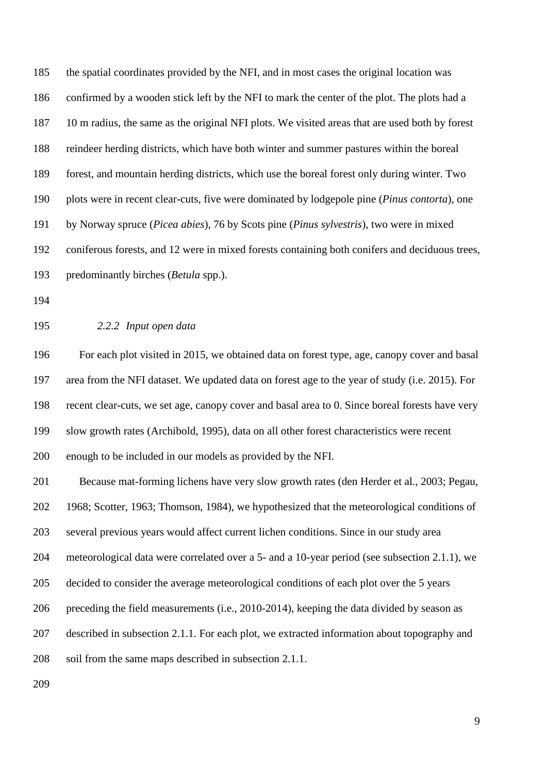the spatial coordinates provided by the NFI, and in most cases the original location was confirmed by a wooden stick left by the NFI to mark the center of the plot. The plots had a 10 m radius, the same as the original NFI plots. We visited areas that are used both by forest reindeer herding districts, which have both winter and summer pastures within the boreal forest, and mountain herding districts, which use the boreal forest only during winter. Two plots were in recent clear-cuts, five were dominated by lodgepole pine (*Pinus contorta*), one by Norway spruce (*Picea abies*), 76 by Scots pine (*Pinus sylvestris*), two were in mixed coniferous forests, and 12 were in mixed forests containing both conifers and deciduous trees, predominantly birches (*Betula* spp.).

- 
- 

## *2.2.2 Input open data*

 For each plot visited in 2015, we obtained data on forest type, age, canopy cover and basal area from the NFI dataset. We updated data on forest age to the year of study (i.e. 2015). For recent clear-cuts, we set age, canopy cover and basal area to 0. Since boreal forests have very slow growth rates [\(Archibold, 1995\)](#page-25-5), data on all other forest characteristics were recent enough to be included in our models as provided by the NFI.

 Because mat-forming lichens have very slow growth rates [\(den Herder et al., 2003;](#page-26-5) [Pegau,](#page-28-9)  [1968;](#page-28-9) [Scotter, 1963;](#page-29-5) [Thomson, 1984\)](#page-29-4), we hypothesized that the meteorological conditions of several previous years would affect current lichen conditions. Since in our study area meteorological data were correlated over a 5- and a 10-year period (see subsection [2.1.1\)](#page-5-0), we decided to consider the average meteorological conditions of each plot over the 5 years preceding the field measurements (i.e., 2010-2014), keeping the data divided by season as described in subsection [2.1.1.](#page-5-0) For each plot, we extracted information about topography and soil from the same maps described in subsection [2.1.1.](#page-5-0)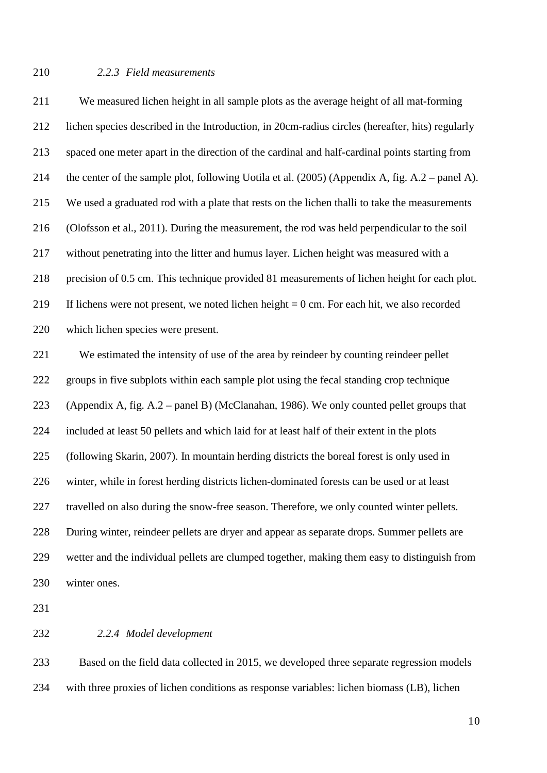## <span id="page-9-0"></span>*2.2.3 Field measurements*

 We measured lichen height in all sample plots as the average height of all mat-forming lichen species described in the Introduction, in 20cm-radius circles (hereafter, hits) regularly spaced one meter apart in the direction of the cardinal and half-cardinal points starting from the center of the sample plot, following Uotila et al. (2005) (Appendix A, fig. A.2 – panel A). We used a graduated rod with a plate that rests on the lichen thalli to take the measurements [\(Olofsson et al., 2011\)](#page-28-6). During the measurement, the rod was held perpendicular to the soil without penetrating into the litter and humus layer. Lichen height was measured with a precision of 0.5 cm. This technique provided 81 measurements of lichen height for each plot. If lichens were not present, we noted lichen height = 0 cm. For each hit, we also recorded which lichen species were present.

 We estimated the intensity of use of the area by reindeer by counting reindeer pellet groups in five subplots within each sample plot using the fecal standing crop technique (Appendix A, fig. A.2 – panel B) [\(McClanahan, 1986\)](#page-27-8). We only counted pellet groups that included at least 50 pellets and which laid for at least half of their extent in the plots [\(following Skarin, 2007\)](#page-29-6). In mountain herding districts the boreal forest is only used in winter, while in forest herding districts lichen-dominated forests can be used or at least 227 travelled on also during the snow-free season. Therefore, we only counted winter pellets. During winter, reindeer pellets are dryer and appear as separate drops. Summer pellets are wetter and the individual pellets are clumped together, making them easy to distinguish from winter ones.

### *2.2.4 Model development*

 Based on the field data collected in 2015, we developed three separate regression models with three proxies of lichen conditions as response variables: lichen biomass (LB), lichen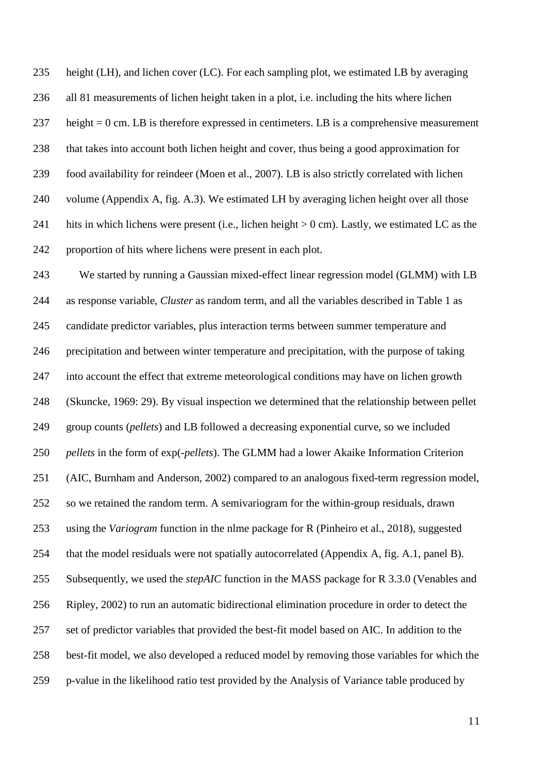height (LH), and lichen cover (LC). For each sampling plot, we estimated LB by averaging all 81 measurements of lichen height taken in a plot, i.e. including the hits where lichen height = 0 cm. LB is therefore expressed in centimeters. LB is a comprehensive measurement that takes into account both lichen height and cover, thus being a good approximation for food availability for reindeer [\(Moen et al., 2007\)](#page-27-7). LB is also strictly correlated with lichen volume (Appendix A, fig. A.3). We estimated LH by averaging lichen height over all those 241 hits in which lichens were present (i.e., lichen height  $> 0$  cm). Lastly, we estimated LC as the proportion of hits where lichens were present in each plot.

 We started by running a Gaussian mixed-effect linear regression model (GLMM) with LB as response variable, *Cluster* as random term, and all the variables described in Table 1 as candidate predictor variables, plus interaction terms between summer temperature and precipitation and between winter temperature and precipitation, with the purpose of taking into account the effect that extreme meteorological conditions may have on lichen growth [\(Skuncke, 1969: 29\)](#page-29-7). By visual inspection we determined that the relationship between pellet group counts (*pellets*) and LB followed a decreasing exponential curve, so we included *pellets* in the form of exp(-*pellets*). The GLMM had a lower Akaike Information Criterion [\(AIC, Burnham and Anderson, 2002\)](#page-25-6) compared to an analogous fixed-term regression model, so we retained the random term. A semivariogram for the within-group residuals, drawn using the *Variogram* function in the nlme package for R [\(Pinheiro et al., 2018\)](#page-28-7), suggested that the model residuals were not spatially autocorrelated (Appendix A, fig. A.1, panel B). Subsequently, we used the *stepAIC* function in the MASS package for R 3.3.0 [\(Venables and](#page-29-8)  [Ripley, 2002\)](#page-29-8) to run an automatic bidirectional elimination procedure in order to detect the set of predictor variables that provided the best-fit model based on AIC. In addition to the best-fit model, we also developed a reduced model by removing those variables for which the p-value in the likelihood ratio test provided by the Analysis of Variance table produced by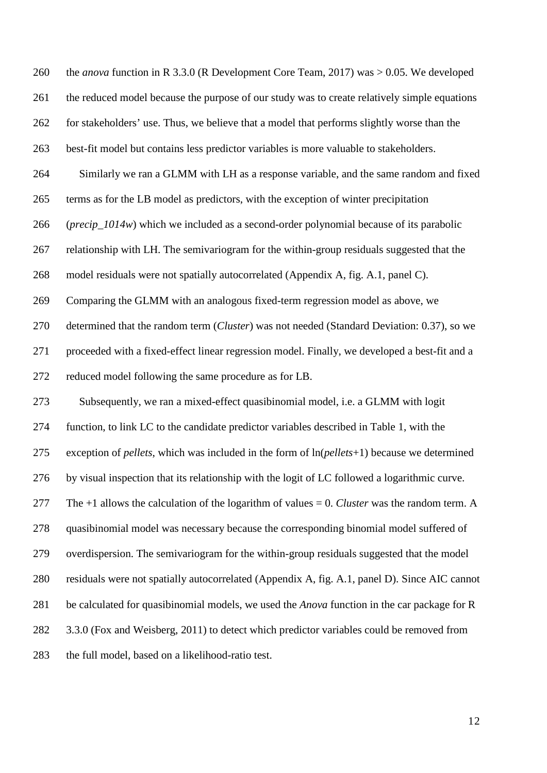the *anova* function in R 3.3.0 (R Development [Core Team, 2017\)](#page-28-8) was > 0.05. We developed 261 the reduced model because the purpose of our study was to create relatively simple equations for stakeholders' use. Thus, we believe that a model that performs slightly worse than the best-fit model but contains less predictor variables is more valuable to stakeholders. Similarly we ran a GLMM with LH as a response variable, and the same random and fixed terms as for the LB model as predictors, with the exception of winter precipitation 266 (*precip 1014w*) which we included as a second-order polynomial because of its parabolic relationship with LH. The semivariogram for the within-group residuals suggested that the model residuals were not spatially autocorrelated (Appendix A, fig. A.1, panel C). Comparing the GLMM with an analogous fixed-term regression model as above, we determined that the random term (*Cluster*) was not needed (Standard Deviation: 0.37), so we proceeded with a fixed-effect linear regression model. Finally, we developed a best-fit and a reduced model following the same procedure as for LB. Subsequently, we ran a mixed-effect quasibinomial model, i.e. a GLMM with logit function, to link LC to the candidate predictor variables described in Table 1, with the exception of *pellets*, which was included in the form of ln(*pellets*+1) because we determined by visual inspection that its relationship with the logit of LC followed a logarithmic curve. The +1 allows the calculation of the logarithm of values = 0. *Cluster* was the random term. A quasibinomial model was necessary because the corresponding binomial model suffered of overdispersion. The semivariogram for the within-group residuals suggested that the model residuals were not spatially autocorrelated (Appendix A, fig. A.1, panel D). Since AIC cannot be calculated for quasibinomial models, we used the *Anova* function in the car package for R 282 3.3.0 [\(Fox and Weisberg, 2011\)](#page-26-9) to detect which predictor variables could be removed from the full model, based on a likelihood-ratio test.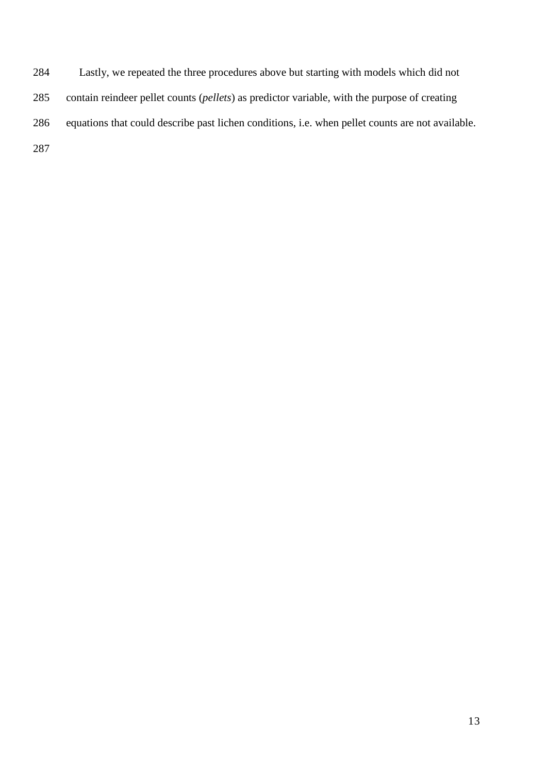Lastly, we repeated the three procedures above but starting with models which did not contain reindeer pellet counts (*pellets*) as predictor variable, with the purpose of creating equations that could describe past lichen conditions, i.e. when pellet counts are not available.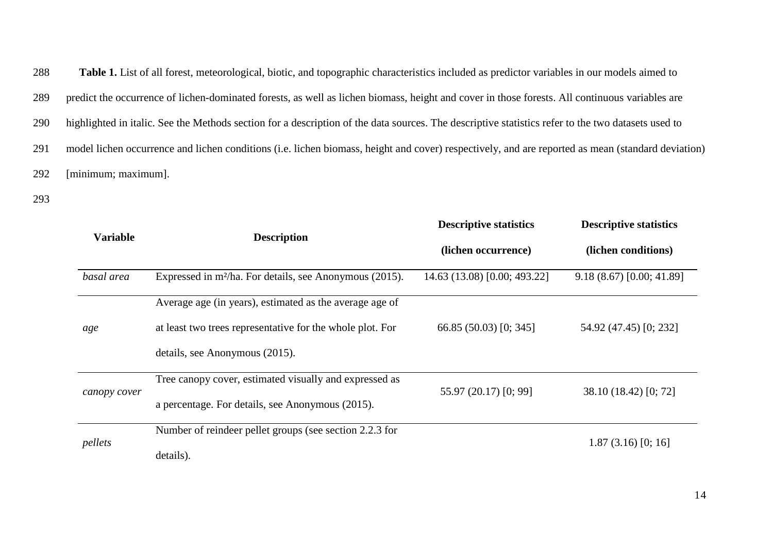**Table 1.** List of all forest, meteorological, biotic, and topographic characteristics included as predictor variables in our models aimed to predict the occurrence of lichen-dominated forests, as well as lichen biomass, height and cover in those forests. All continuous variables are highlighted in italic. See the Methods section for a description of the data sources. The descriptive statistics refer to the two datasets used to model lichen occurrence and lichen conditions (i.e. lichen biomass, height and cover) respectively, and are reported as mean (standard deviation) [minimum; maximum].

|              |                                                                     | <b>Descriptive statistics</b> | <b>Descriptive statistics</b> |
|--------------|---------------------------------------------------------------------|-------------------------------|-------------------------------|
|              | <b>Variable</b><br><b>Description</b>                               | (lichen occurrence)           | (lichen conditions)           |
| basal area   | Expressed in m <sup>2</sup> /ha. For details, see Anonymous (2015). | 14.63 (13.08) [0.00; 493.22]  | 9.18(8.67)[0.00; 41.89]       |
|              | Average age (in years), estimated as the average age of             |                               |                               |
| age          | at least two trees representative for the whole plot. For           | 66.85(50.03)[0; 345]          | 54.92 (47.45) [0; 232]        |
|              | details, see Anonymous (2015).                                      |                               |                               |
| canopy cover | Tree canopy cover, estimated visually and expressed as              | 55.97 (20.17) [0; 99]         | 38.10 (18.42) [0; 72]         |
|              | a percentage. For details, see Anonymous (2015).                    |                               |                               |
| pellets      | Number of reindeer pellet groups (see section 2.2.3 for             |                               | 1.87(3.16)[0;16]              |
|              | details).                                                           |                               |                               |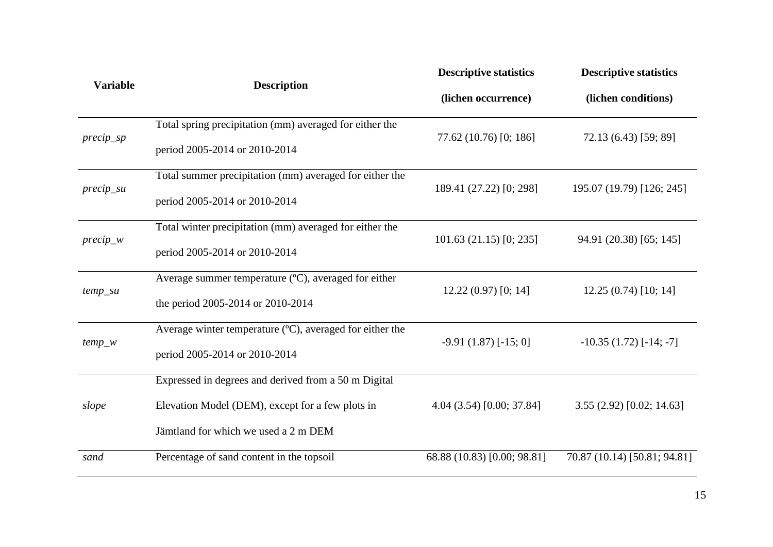|                 |                                                          | <b>Descriptive statistics</b> | <b>Descriptive statistics</b>   |
|-----------------|----------------------------------------------------------|-------------------------------|---------------------------------|
| <b>Variable</b> | <b>Description</b>                                       | (lichen occurrence)           | (lichen conditions)             |
|                 | Total spring precipitation (mm) averaged for either the  |                               |                                 |
| $precip_sp$     | period 2005-2014 or 2010-2014                            | 77.62 (10.76) [0; 186]        | 72.13 (6.43) [59; 89]           |
|                 | Total summer precipitation (mm) averaged for either the  |                               |                                 |
| $precip\_su$    | period 2005-2014 or 2010-2014                            | 189.41 (27.22) [0; 298]       | 195.07 (19.79) [126; 245]       |
|                 | Total winter precipitation (mm) averaged for either the  |                               |                                 |
| $precip_w$      | period 2005-2014 or 2010-2014                            | 101.63(21.15)[0; 235]         | 94.91 (20.38) [65; 145]         |
|                 | Average summer temperature (°C), averaged for either     |                               |                                 |
| $temp\_su$      | the period 2005-2014 or 2010-2014                        | $12.22(0.97)$ [0; 14]         | 12.25(0.74)[10; 14]             |
|                 | Average winter temperature (°C), averaged for either the |                               |                                 |
| $temp_w$        | period 2005-2014 or 2010-2014                            | $-9.91(1.87)$ [ $-15; 0$ ]    | $-10.35(1.72)$ [ $-14$ ; $-7$ ] |
|                 | Expressed in degrees and derived from a 50 m Digital     |                               |                                 |
| slope           | Elevation Model (DEM), except for a few plots in         | 4.04 (3.54) [0.00; 37.84]     | 3.55(2.92)[0.02; 14.63]         |
|                 | Jämtland for which we used a 2 m DEM                     |                               |                                 |
| sand            | Percentage of sand content in the topsoil                | 68.88 (10.83) [0.00; 98.81]   | 70.87 (10.14) [50.81; 94.81]    |
|                 |                                                          |                               |                                 |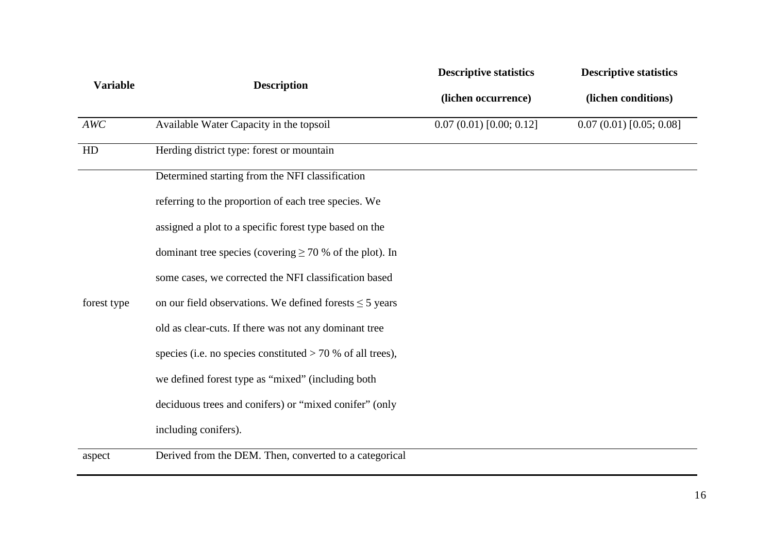|                 |                                                              | <b>Descriptive statistics</b> | <b>Descriptive statistics</b> |
|-----------------|--------------------------------------------------------------|-------------------------------|-------------------------------|
| <b>Variable</b> | <b>Description</b>                                           | (lichen occurrence)           | (lichen conditions)           |
| AWC             | Available Water Capacity in the topsoil                      | 0.07(0.01)[0.00; 0.12]        | 0.07(0.01)[0.05; 0.08]        |
| HD              | Herding district type: forest or mountain                    |                               |                               |
|                 | Determined starting from the NFI classification              |                               |                               |
|                 | referring to the proportion of each tree species. We         |                               |                               |
|                 | assigned a plot to a specific forest type based on the       |                               |                               |
|                 | dominant tree species (covering $\geq$ 70 % of the plot). In |                               |                               |
|                 | some cases, we corrected the NFI classification based        |                               |                               |
| forest type     | on our field observations. We defined forests $\leq$ 5 years |                               |                               |
|                 | old as clear-cuts. If there was not any dominant tree        |                               |                               |
|                 | species (i.e. no species constituted $> 70$ % of all trees), |                               |                               |
|                 | we defined forest type as "mixed" (including both            |                               |                               |
|                 | deciduous trees and conifers) or "mixed conifer" (only       |                               |                               |
|                 | including conifers).                                         |                               |                               |
| aspect          | Derived from the DEM. Then, converted to a categorical       |                               |                               |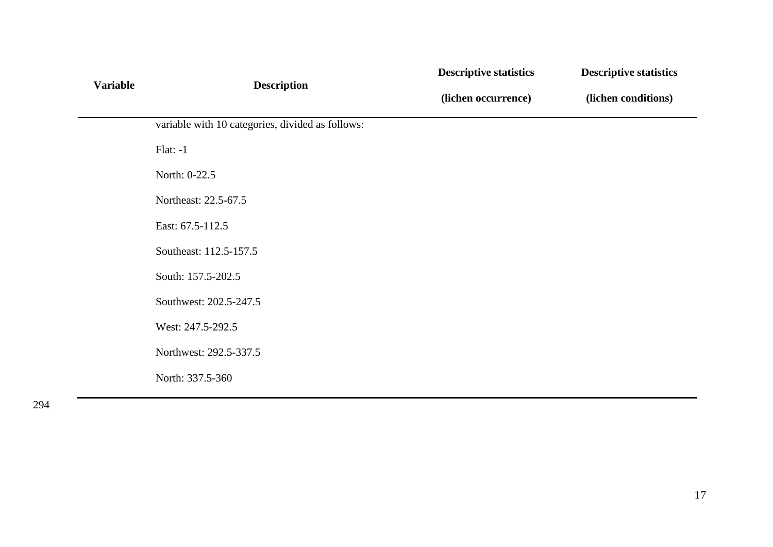|                 |                                                  | <b>Descriptive statistics</b> | <b>Descriptive statistics</b> |  |
|-----------------|--------------------------------------------------|-------------------------------|-------------------------------|--|
| <b>Variable</b> | <b>Description</b>                               | (lichen occurrence)           | (lichen conditions)           |  |
|                 | variable with 10 categories, divided as follows: |                               |                               |  |
|                 | $Flat: -1$                                       |                               |                               |  |
|                 | North: 0-22.5                                    |                               |                               |  |
|                 | Northeast: 22.5-67.5                             |                               |                               |  |
|                 | East: 67.5-112.5                                 |                               |                               |  |
|                 | Southeast: 112.5-157.5                           |                               |                               |  |
|                 | South: 157.5-202.5                               |                               |                               |  |
|                 | Southwest: 202.5-247.5                           |                               |                               |  |
|                 | West: 247.5-292.5                                |                               |                               |  |
|                 | Northwest: 292.5-337.5                           |                               |                               |  |
|                 | North: 337.5-360                                 |                               |                               |  |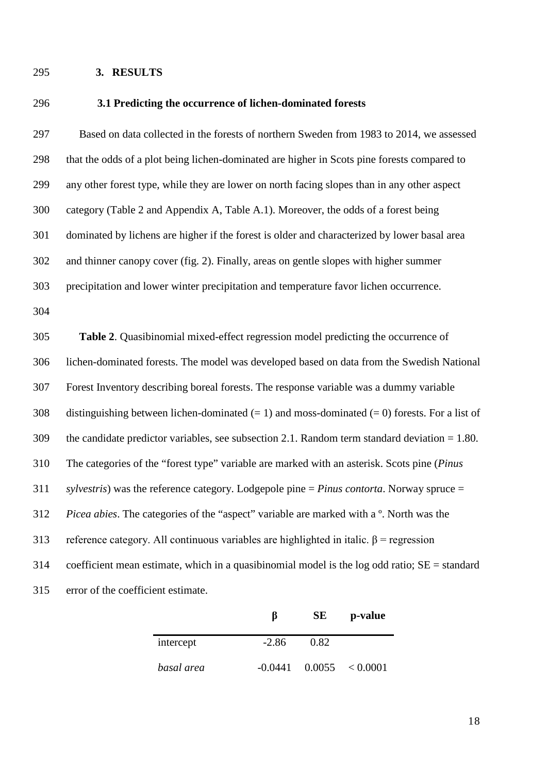## **3. RESULTS**

## **3.1 Predicting the occurrence of lichen-dominated forests**

 Based on data collected in the forests of northern Sweden from 1983 to 2014, we assessed that the odds of a plot being lichen-dominated are higher in Scots pine forests compared to any other forest type, while they are lower on north facing slopes than in any other aspect category (Table 2 and Appendix A, Table A.1). Moreover, the odds of a forest being dominated by lichens are higher if the forest is older and characterized by lower basal area and thinner canopy cover (fig. 2). Finally, areas on gentle slopes with higher summer precipitation and lower winter precipitation and temperature favor lichen occurrence.

 **Table 2**. Quasibinomial mixed-effect regression model predicting the occurrence of lichen-dominated forests. The model was developed based on data from the Swedish National Forest Inventory describing boreal forests. The response variable was a dummy variable 308 distinguishing between lichen-dominated  $(= 1)$  and moss-dominated  $(= 0)$  forests. For a list of the candidate predictor variables, see subsection [2.1.](#page-5-1) Random term standard deviation = 1.80. The categories of the "forest type" variable are marked with an asterisk. Scots pine (*Pinus sylvestris*) was the reference category. Lodgepole pine = *Pinus contorta*. Norway spruce = *Picea abies*. The categories of the "aspect" variable are marked with a º. North was the 313 reference category. All continuous variables are highlighted in italic.  $\beta$  = regression coefficient mean estimate, which in a quasibinomial model is the log odd ratio;  $SE =$  standard error of the coefficient estimate.

|            |         | SE   | p-value                       |
|------------|---------|------|-------------------------------|
| intercept  | $-2.86$ | 0.82 |                               |
| basal area |         |      | $-0.0441$ $0.0055$ $< 0.0001$ |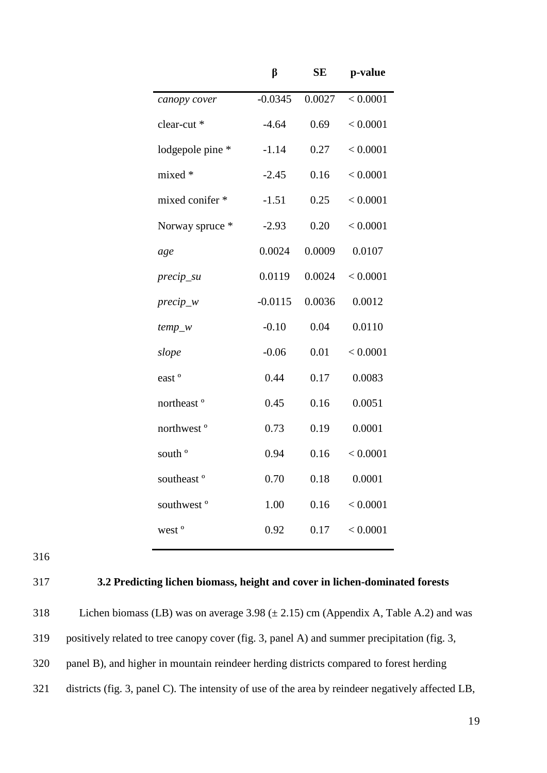|                        | β         | SE     | p-value  |
|------------------------|-----------|--------|----------|
| canopy cover           | $-0.0345$ | 0.0027 | < 0.0001 |
| clear-cut *            | $-4.64$   | 0.69   | < 0.0001 |
| lodgepole pine *       | $-1.14$   | 0.27   | < 0.0001 |
| mixed *                | $-2.45$   | 0.16   | < 0.0001 |
| mixed conifer *        | $-1.51$   | 0.25   | < 0.0001 |
| Norway spruce *        | $-2.93$   | 0.20   | < 0.0001 |
| age                    | 0.0024    | 0.0009 | 0.0107   |
| precip_su              | 0.0119    | 0.0024 | < 0.0001 |
| $precip_w$             | $-0.0115$ | 0.0036 | 0.0012   |
| $temp_w$               | $-0.10$   | 0.04   | 0.0110   |
| slope                  | $-0.06$   | 0.01   | < 0.0001 |
| east <sup>o</sup>      | 0.44      | 0.17   | 0.0083   |
| northeast <sup>o</sup> | 0.45      | 0.16   | 0.0051   |
| northwest <sup>o</sup> | 0.73      | 0.19   | 0.0001   |
| south <sup>o</sup>     | 0.94      | 0.16   | < 0.0001 |
| southeast <sup>o</sup> | 0.70      | 0.18   | 0.0001   |
| southwest <sup>o</sup> | 1.00      | 0.16   | < 0.0001 |
| west <sup>o</sup>      | 0.92      | 0.17   | < 0.0001 |
|                        |           |        |          |

316

## 317 **3.2 Predicting lichen biomass, height and cover in lichen-dominated forests**

318 Lichen biomass (LB) was on average  $3.98 \ (\pm 2.15)$  cm (Appendix A, Table A.2) and was positively related to tree canopy cover (fig. 3, panel A) and summer precipitation (fig. 3, panel B), and higher in mountain reindeer herding districts compared to forest herding districts (fig. 3, panel C). The intensity of use of the area by reindeer negatively affected LB,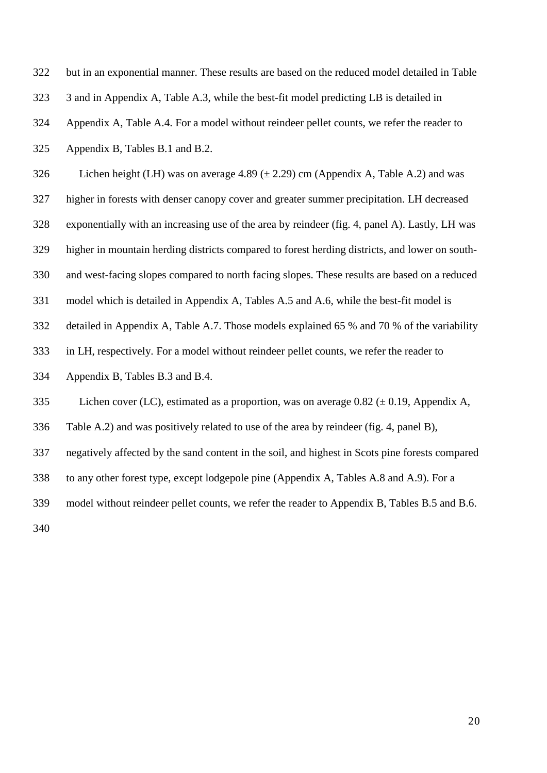| 322 | but in an exponential manner. These results are based on the reduced model detailed in Table    |
|-----|-------------------------------------------------------------------------------------------------|
| 323 | 3 and in Appendix A, Table A.3, while the best-fit model predicting LB is detailed in           |
| 324 | Appendix A, Table A.4. For a model without reindeer pellet counts, we refer the reader to       |
| 325 | Appendix B, Tables B.1 and B.2.                                                                 |
| 326 | Lichen height (LH) was on average 4.89 ( $\pm$ 2.29) cm (Appendix A, Table A.2) and was         |
| 327 | higher in forests with denser canopy cover and greater summer precipitation. LH decreased       |
| 328 | exponentially with an increasing use of the area by reindeer (fig. 4, panel A). Lastly, LH was  |
| 329 | higher in mountain herding districts compared to forest herding districts, and lower on south-  |
| 330 | and west-facing slopes compared to north facing slopes. These results are based on a reduced    |
| 331 | model which is detailed in Appendix A, Tables A.5 and A.6, while the best-fit model is          |
| 332 | detailed in Appendix A, Table A.7. Those models explained 65 % and 70 % of the variability      |
| 333 | in LH, respectively. For a model without reindeer pellet counts, we refer the reader to         |
| 334 | Appendix B, Tables B.3 and B.4.                                                                 |
| 335 | Lichen cover (LC), estimated as a proportion, was on average $0.82 \ (\pm 0.19)$ , Appendix A,  |
| 336 | Table A.2) and was positively related to use of the area by reindeer (fig. 4, panel B),         |
| 337 | negatively affected by the sand content in the soil, and highest in Scots pine forests compared |
| 338 | to any other forest type, except lodgepole pine (Appendix A, Tables A.8 and A.9). For a         |
| 339 | model without reindeer pellet counts, we refer the reader to Appendix B, Tables B.5 and B.6.    |
| 340 |                                                                                                 |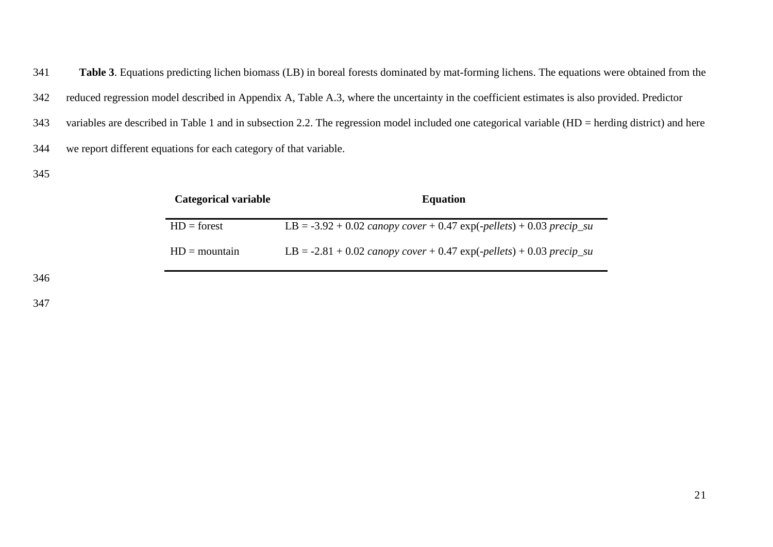**Table 3**. Equations predicting lichen biomass (LB) in boreal forests dominated by mat-forming lichens. The equations were obtained from the reduced regression model described in Appendix A, Table A.3, where the uncertainty in the coefficient estimates is also provided. Predictor variables are described in Table 1 and in subsection [2.2.](#page-7-0) The regression model included one categorical variable (HD = herding district) and here we report different equations for each category of that variable.

| <b>Categorical variable</b> | <b>Equation</b>                                                              |
|-----------------------------|------------------------------------------------------------------------------|
| $HD = forest$               | LB = $-3.92 + 0.02$ canopy cover $+ 0.47$ exp( $-pellers$ ) + 0.03 precip_su |
| $HD = mountain$             | $LB = -2.81 + 0.02$ canopy cover $+ 0.47$ exp(-pellets) $+ 0.03$ precip_su   |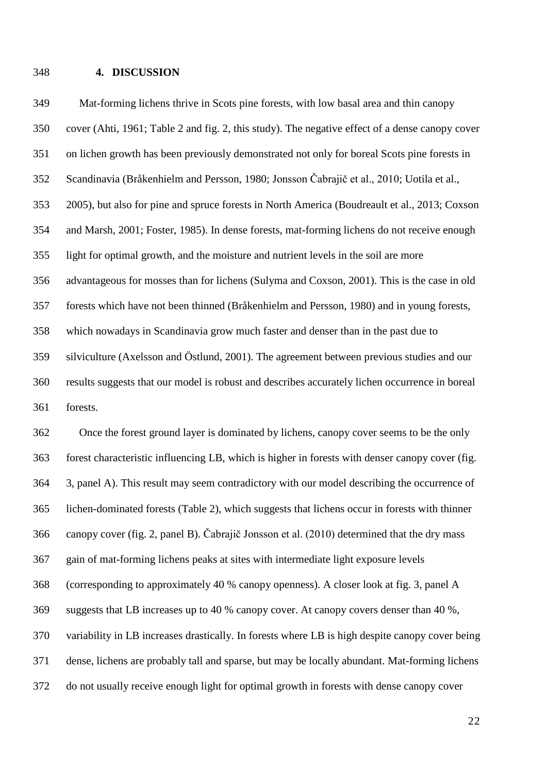## **4. DISCUSSION**

 cover [\(Ahti, 1961; Table 2 and fig. 2, this study\)](#page-24-2). The negative effect of a dense canopy cover on lichen growth has been previously demonstrated not only for boreal Scots pine forests in Scandinavia [\(Bråkenhielm and Persson, 1980;](#page-25-7) [Jonsson Čabrajič et al., 2010](#page-27-5); [Uotila et al.,](#page-29-2)  [2005\)](#page-29-2), but also for pine and spruce forests in North America [\(Boudreault et al., 2013;](#page-25-8) [Coxson](#page-26-1)  [and Marsh, 2001;](#page-26-1) [Foster, 1985\)](#page-26-10). In dense forests, mat-forming lichens do not receive enough light for optimal growth, and the moisture and nutrient levels in the soil are more advantageous for mosses than for lichens [\(Sulyma and Coxson, 2001\)](#page-29-9). This is the case in old forests which have not been thinned [\(Bråkenhielm and Persson, 1980\)](#page-25-7) and in young forests, which nowadays in Scandinavia grow much faster and denser than in the past due to silviculture [\(Axelsson and Östlund, 2001\)](#page-25-9). The agreement between previous studies and our results suggests that our model is robust and describes accurately lichen occurrence in boreal forests.

Mat-forming lichens thrive in Scots pine forests, with low basal area and thin canopy

 Once the forest ground layer is dominated by lichens, canopy cover seems to be the only forest characteristic influencing LB, which is higher in forests with denser canopy cover (fig. 3, panel A). This result may seem contradictory with our model describing the occurrence of lichen-dominated forests (Table 2), which suggests that lichens occur in forests with thinner canopy cover (fig. 2, panel B). Čabrajič Jonsson et al. (2010) determined that the dry mass gain of mat-forming lichens peaks at sites with intermediate light exposure levels (corresponding to approximately 40 % canopy openness). A closer look at fig. 3, panel A suggests that LB increases up to 40 % canopy cover. At canopy covers denser than 40 %, variability in LB increases drastically. In forests where LB is high despite canopy cover being dense, lichens are probably tall and sparse, but may be locally abundant. Mat-forming lichens do not usually receive enough light for optimal growth in forests with dense canopy cover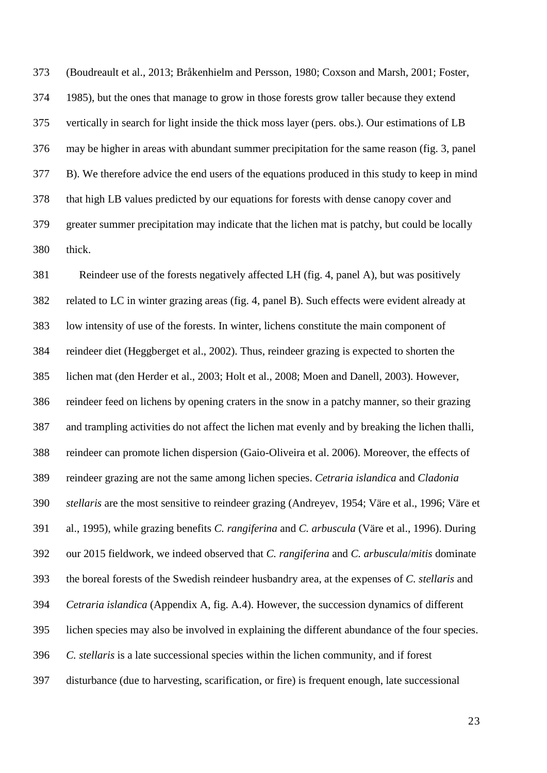[\(Boudreault et al., 2013;](#page-25-8) [Bråkenhielm and Persson, 1980;](#page-25-7) [Coxson and Marsh, 2001;](#page-26-1) [Foster,](#page-26-10)  [1985\)](#page-26-10), but the ones that manage to grow in those forests grow taller because they extend vertically in search for light inside the thick moss layer (pers. obs.). Our estimations of LB may be higher in areas with abundant summer precipitation for the same reason (fig. 3, panel B). We therefore advice the end users of the equations produced in this study to keep in mind that high LB values predicted by our equations for forests with dense canopy cover and greater summer precipitation may indicate that the lichen mat is patchy, but could be locally thick.

 Reindeer use of the forests negatively affected LH (fig. 4, panel A), but was positively related to LC in winter grazing areas (fig. 4, panel B). Such effects were evident already at low intensity of use of the forests. In winter, lichens constitute the main component of reindeer diet [\(Heggberget et al., 2002\)](#page-27-0). Thus, reindeer grazing is expected to shorten the lichen mat [\(den Herder et al., 2003;](#page-26-5) [Holt et al., 2008;](#page-27-9) [Moen and Danell, 2003\)](#page-27-6). However, reindeer feed on lichens by opening craters in the snow in a patchy manner, so their grazing and trampling activities do not affect the lichen mat evenly and by breaking the lichen thalli, reindeer can promote lichen dispersion (Gaio-Oliveira et al. 2006). Moreover, the effects of reindeer grazing are not the same among lichen species. *Cetraria islandica* and *Cladonia stellaris* are the most sensitive to reindeer grazing [\(Andreyev, 1954;](#page-24-1) [Väre et al., 1996;](#page-30-1) [Väre et](#page-30-2)  [al., 1995\)](#page-30-2), while grazing benefits *C. rangiferina* and *C. arbuscula* [\(Väre et al., 1996\)](#page-30-1). During our 2015 fieldwork, we indeed observed that *C. rangiferina* and *C. arbuscula*/*mitis* dominate the boreal forests of the Swedish reindeer husbandry area, at the expenses of *C. stellaris* and *Cetraria islandica* (Appendix A, fig. A.4). However, the succession dynamics of different lichen species may also be involved in explaining the different abundance of the four species. *C. stellaris* is a late successional species within the lichen community, and if forest disturbance (due to harvesting, scarification, or fire) is frequent enough, late successional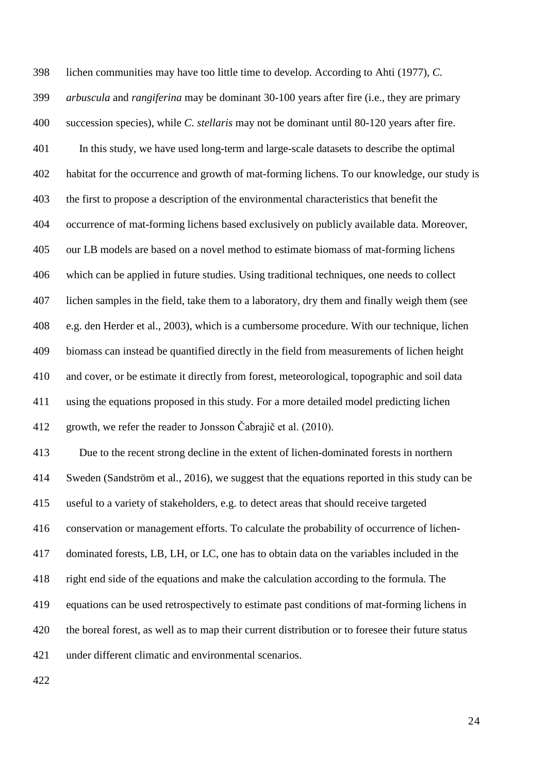lichen communities may have too little time to develop. According to Ahti (1977), *C. arbuscula* and *rangiferina* may be dominant 30-100 years after fire (i.e., they are primary succession species), while *C. stellaris* may not be dominant until 80-120 years after fire. In this study, we have used long-term and large-scale datasets to describe the optimal habitat for the occurrence and growth of mat-forming lichens. To our knowledge, our study is the first to propose a description of the environmental characteristics that benefit the occurrence of mat-forming lichens based exclusively on publicly available data. Moreover, our LB models are based on a novel method to estimate biomass of mat-forming lichens which can be applied in future studies. Using traditional techniques, one needs to collect lichen samples in the field, take them to a laboratory, dry them and finally weigh them [\(see](#page-26-5)  [e.g. den Herder et al., 2003\)](#page-26-5), which is a cumbersome procedure. With our technique, lichen biomass can instead be quantified directly in the field from measurements of lichen height and cover, or be estimate it directly from forest, meteorological, topographic and soil data using the equations proposed in this study. For a more detailed model predicting lichen growth, we refer the reader to Jonsson Čabrajič et al. (2010). Due to the recent strong decline in the extent of lichen-dominated forests in northern Sweden [\(Sandström et al., 2016\)](#page-29-1), we suggest that the equations reported in this study can be useful to a variety of stakeholders, e.g. to detect areas that should receive targeted conservation or management efforts. To calculate the probability of occurrence of lichen- dominated forests, LB, LH, or LC, one has to obtain data on the variables included in the right end side of the equations and make the calculation according to the formula. The equations can be used retrospectively to estimate past conditions of mat-forming lichens in the boreal forest, as well as to map their current distribution or to foresee their future status under different climatic and environmental scenarios.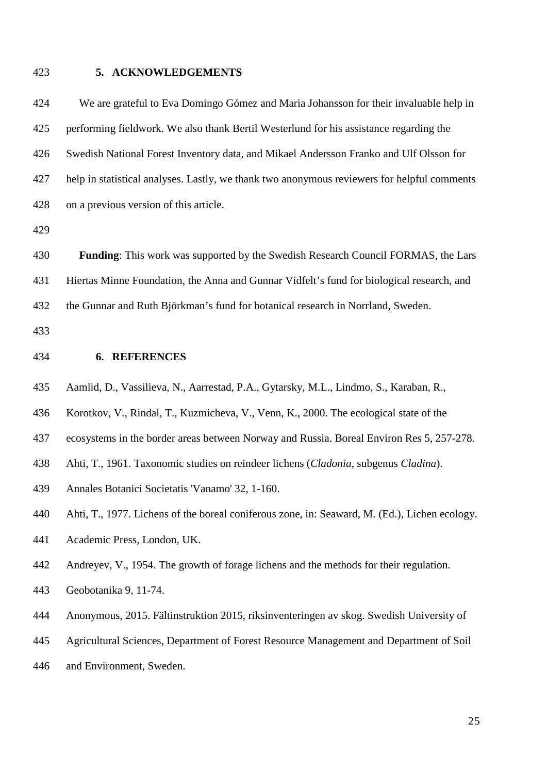## **5. ACKNOWLEDGEMENTS**

 We are grateful to Eva Domingo Gómez and Maria Johansson for their invaluable help in performing fieldwork. We also thank Bertil Westerlund for his assistance regarding the Swedish National Forest Inventory data, and Mikael Andersson Franko and Ulf Olsson for help in statistical analyses. Lastly, we thank two anonymous reviewers for helpful comments on a previous version of this article.

 **Funding**: This work was supported by the Swedish Research Council FORMAS, the Lars Hiertas Minne Foundation, the Anna and Gunnar Vidfelt's fund for biological research, and the Gunnar and Ruth Björkman's fund for botanical research in Norrland, Sweden.

- **6. REFERENCES**
- <span id="page-24-0"></span>Aamlid, D., Vassilieva, N., Aarrestad, P.A., Gytarsky, M.L., Lindmo, S., Karaban, R.,
- Korotkov, V., Rindal, T., Kuzmicheva, V., Venn, K., 2000. The ecological state of the
- ecosystems in the border areas between Norway and Russia. Boreal Environ Res 5, 257-278.
- <span id="page-24-2"></span>Ahti, T., 1961. Taxonomic studies on reindeer lichens (*Cladonia*, subgenus *Cladina*).
- Annales Botanici Societatis 'Vanamo' 32, 1-160.
- Ahti, T., 1977. Lichens of the boreal coniferous zone, in: Seaward, M. (Ed.), Lichen ecology.
- Academic Press, London, UK.
- <span id="page-24-1"></span>Andreyev, V., 1954. The growth of forage lichens and the methods for their regulation.
- Geobotanika 9, 11-74.
- <span id="page-24-3"></span>Anonymous, 2015. Fältinstruktion 2015, riksinventeringen av skog. Swedish University of
- Agricultural Sciences, Department of Forest Resource Management and Department of Soil
- and Environment, Sweden.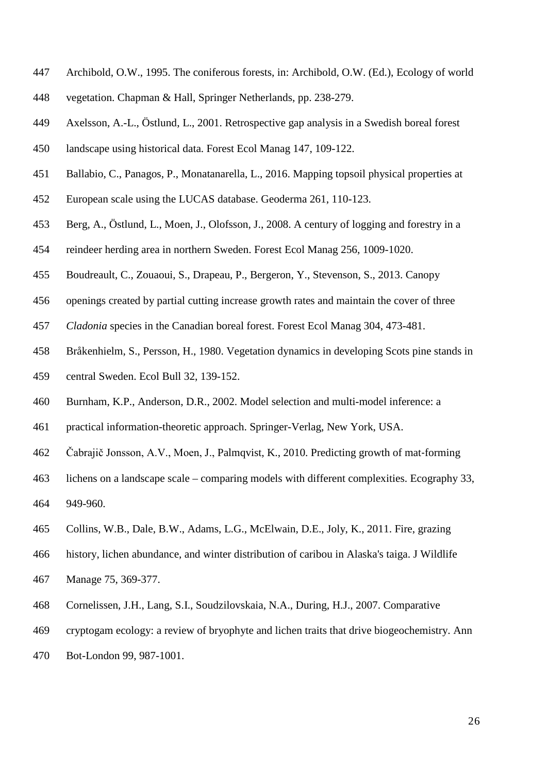- <span id="page-25-5"></span>Archibold, O.W., 1995. The coniferous forests, in: Archibold, O.W. (Ed.), Ecology of world
- vegetation. Chapman & Hall, Springer Netherlands, pp. 238-279.
- <span id="page-25-9"></span>Axelsson, A.-L., Östlund, L., 2001. Retrospective gap analysis in a Swedish boreal forest
- landscape using historical data. Forest Ecol Manag 147, 109-122.
- <span id="page-25-4"></span>Ballabio, C., Panagos, P., Monatanarella, L., 2016. Mapping topsoil physical properties at
- European scale using the LUCAS database. Geoderma 261, 110-123.
- <span id="page-25-2"></span>Berg, A., Östlund, L., Moen, J., Olofsson, J., 2008. A century of logging and forestry in a
- reindeer herding area in northern Sweden. Forest Ecol Manag 256, 1009-1020.
- <span id="page-25-8"></span>Boudreault, C., Zouaoui, S., Drapeau, P., Bergeron, Y., Stevenson, S., 2013. Canopy
- openings created by partial cutting increase growth rates and maintain the cover of three
- *Cladonia* species in the Canadian boreal forest. Forest Ecol Manag 304, 473-481.
- <span id="page-25-7"></span>Bråkenhielm, S., Persson, H., 1980. Vegetation dynamics in developing Scots pine stands in
- central Sweden. Ecol Bull 32, 139-152.
- <span id="page-25-6"></span>Burnham, K.P., Anderson, D.R., 2002. Model selection and multi-model inference: a
- practical information-theoretic approach. Springer-Verlag, New York, USA.
- <span id="page-25-3"></span>Čabrajič Jonsson, A.V., Moen, J., Palmqvist, K., 2010. Predicting growth of mat‐forming
- lichens on a landscape scale comparing models with different complexities. Ecography 33, 949-960.
- <span id="page-25-1"></span>Collins, W.B., Dale, B.W., Adams, L.G., McElwain, D.E., Joly, K., 2011. Fire, grazing
- history, lichen abundance, and winter distribution of caribou in Alaska's taiga. J Wildlife
- Manage 75, 369-377.
- <span id="page-25-0"></span>Cornelissen, J.H., Lang, S.I., Soudzilovskaia, N.A., During, H.J., 2007. Comparative
- cryptogam ecology: a review of bryophyte and lichen traits that drive biogeochemistry. Ann
- Bot-London 99, 987-1001.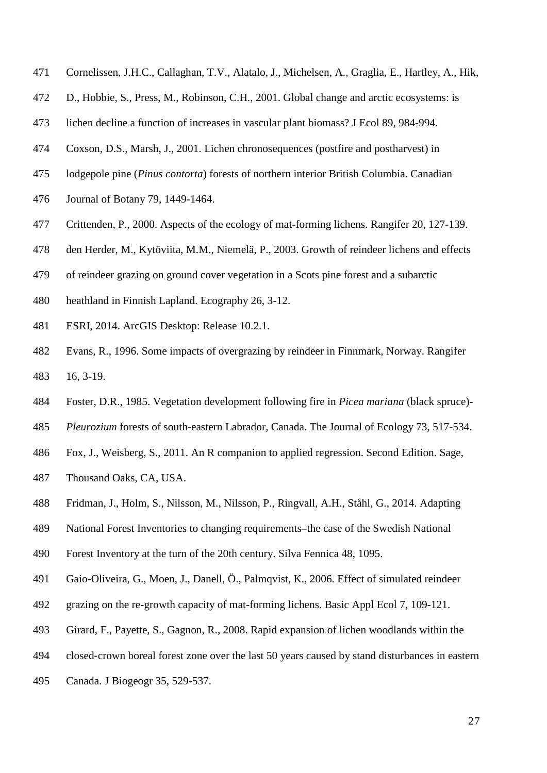- <span id="page-26-3"></span>Cornelissen, J.H.C., Callaghan, T.V., Alatalo, J., Michelsen, A., Graglia, E., Hartley, A., Hik,
- D., Hobbie, S., Press, M., Robinson, C.H., 2001. Global change and arctic ecosystems: is
- lichen decline a function of increases in vascular plant biomass? J Ecol 89, 984-994.
- <span id="page-26-1"></span>Coxson, D.S., Marsh, J., 2001. Lichen chronosequences (postfire and postharvest) in
- lodgepole pine (*Pinus contorta*) forests of northern interior British Columbia. Canadian
- Journal of Botany 79, 1449-1464.
- <span id="page-26-6"></span>Crittenden, P., 2000. Aspects of the ecology of mat-forming lichens. Rangifer 20, 127-139.
- <span id="page-26-5"></span>den Herder, M., Kytöviita, M.M., Niemelä, P., 2003. Growth of reindeer lichens and effects
- of reindeer grazing on ground cover vegetation in a Scots pine forest and a subarctic
- heathland in Finnish Lapland. Ecography 26, 3-12.
- <span id="page-26-8"></span>ESRI, 2014. ArcGIS Desktop: Release 10.2.1.
- <span id="page-26-0"></span> Evans, R., 1996. Some impacts of overgrazing by reindeer in Finnmark, Norway. Rangifer 16, 3-19.
- <span id="page-26-10"></span>Foster, D.R., 1985. Vegetation development following fire in *Picea mariana* (black spruce)-
- *Pleurozium* forests of south-eastern Labrador, Canada. The Journal of Ecology 73, 517-534.
- <span id="page-26-9"></span>Fox, J., Weisberg, S., 2011. An R companion to applied regression. Second Edition. Sage,
- Thousand Oaks, CA, USA.
- <span id="page-26-7"></span>Fridman, J., Holm, S., Nilsson, M., Nilsson, P., Ringvall, A.H., Ståhl, G., 2014. Adapting
- National Forest Inventories to changing requirements–the case of the Swedish National
- Forest Inventory at the turn of the 20th century. Silva Fennica 48, 1095.
- <span id="page-26-4"></span>Gaio-Oliveira, G., Moen, J., Danell, Ö., Palmqvist, K., 2006. Effect of simulated reindeer
- grazing on the re-growth capacity of mat-forming lichens. Basic Appl Ecol 7, 109-121.
- <span id="page-26-2"></span>Girard, F., Payette, S., Gagnon, R., 2008. Rapid expansion of lichen woodlands within the
- closed‐crown boreal forest zone over the last 50 years caused by stand disturbances in eastern
- Canada. J Biogeogr 35, 529-537.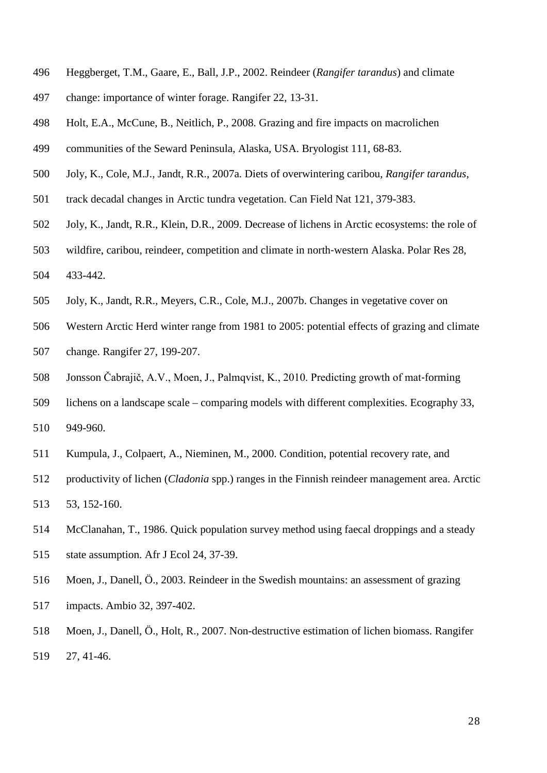- <span id="page-27-0"></span>Heggberget, T.M., Gaare, E., Ball, J.P., 2002. Reindeer (*Rangifer tarandus*) and climate
- change: importance of winter forage. Rangifer 22, 13-31.
- <span id="page-27-9"></span>Holt, E.A., McCune, B., Neitlich, P., 2008. Grazing and fire impacts on macrolichen
- communities of the Seward Peninsula, Alaska, USA. Bryologist 111, 68-83.
- <span id="page-27-2"></span>Joly, K., Cole, M.J., Jandt, R.R., 2007a. Diets of overwintering caribou, *Rangifer tarandus*,
- track decadal changes in Arctic tundra vegetation. Can Field Nat 121, 379-383.
- <span id="page-27-4"></span>Joly, K., Jandt, R.R., Klein, D.R., 2009. Decrease of lichens in Arctic ecosystems: the role of
- wildfire, caribou, reindeer, competition and climate in north‐western Alaska. Polar Res 28,
- 433-442.
- <span id="page-27-3"></span>Joly, K., Jandt, R.R., Meyers, C.R., Cole, M.J., 2007b. Changes in vegetative cover on
- Western Arctic Herd winter range from 1981 to 2005: potential effects of grazing and climate
- change. Rangifer 27, 199-207.
- <span id="page-27-5"></span>Jonsson Čabrajič, A.V., Moen, J., Palmqvist, K., 2010. Predicting growth of mat‐forming
- lichens on a landscape scale comparing models with different complexities. Ecography 33, 949-960.
- <span id="page-27-1"></span>Kumpula, J., Colpaert, A., Nieminen, M., 2000. Condition, potential recovery rate, and
- productivity of lichen (*Cladonia* spp.) ranges in the Finnish reindeer management area. Arctic 53, 152-160.
- <span id="page-27-8"></span> McClanahan, T., 1986. Quick population survey method using faecal droppings and a steady state assumption. Afr J Ecol 24, 37-39.
- <span id="page-27-6"></span> Moen, J., Danell, Ö., 2003. Reindeer in the Swedish mountains: an assessment of grazing impacts. Ambio 32, 397-402.
- <span id="page-27-7"></span> Moen, J., Danell, Ö., Holt, R., 2007. Non-destructive estimation of lichen biomass. Rangifer 27, 41-46.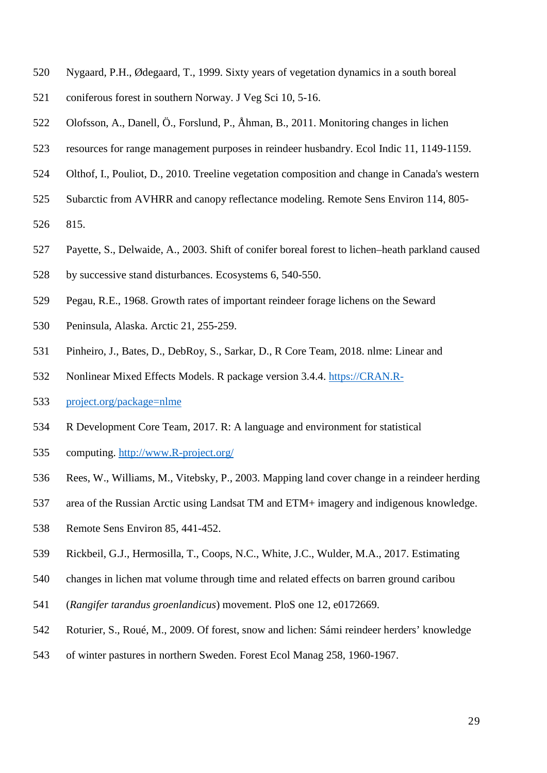- <span id="page-28-0"></span>Nygaard, P.H., Ødegaard, T., 1999. Sixty years of vegetation dynamics in a south boreal
- coniferous forest in southern Norway. J Veg Sci 10, 5-16.
- <span id="page-28-6"></span>Olofsson, A., Danell, Ö., Forslund, P., Åhman, B., 2011. Monitoring changes in lichen
- resources for range management purposes in reindeer husbandry. Ecol Indic 11, 1149-1159.
- <span id="page-28-4"></span>Olthof, I., Pouliot, D., 2010. Treeline vegetation composition and change in Canada's western
- Subarctic from AVHRR and canopy reflectance modeling. Remote Sens Environ 114, 805-
- 815.
- <span id="page-28-3"></span>Payette, S., Delwaide, A., 2003. Shift of conifer boreal forest to lichen–heath parkland caused
- by successive stand disturbances. Ecosystems 6, 540-550.
- <span id="page-28-9"></span>Pegau, R.E., 1968. Growth rates of important reindeer forage lichens on the Seward
- Peninsula, Alaska. Arctic 21, 255-259.
- <span id="page-28-7"></span>Pinheiro, J., Bates, D., DebRoy, S., Sarkar, D., R Core Team, 2018. nlme: Linear and
- Nonlinear Mixed Effects Models. R package version 3.4.4. [https://CRAN.R-](https://cran.r-project.org/package=nlme)
- [project.org/package=nlme](https://cran.r-project.org/package=nlme)
- <span id="page-28-8"></span>R Development Core Team, 2017. R: A language and environment for statistical
- computing. [http://www.R-project.org/](http://www.r-project.org/)
- <span id="page-28-1"></span>Rees, W., Williams, M., Vitebsky, P., 2003. Mapping land cover change in a reindeer herding
- area of the Russian Arctic using Landsat TM and ETM+ imagery and indigenous knowledge.
- Remote Sens Environ 85, 441-452.
- <span id="page-28-2"></span>Rickbeil, G.J., Hermosilla, T., Coops, N.C., White, J.C., Wulder, M.A., 2017. Estimating
- changes in lichen mat volume through time and related effects on barren ground caribou
- (*Rangifer tarandus groenlandicus*) movement. PloS one 12, e0172669.
- <span id="page-28-5"></span>Roturier, S., Roué, M., 2009. Of forest, snow and lichen: Sámi reindeer herders' knowledge
- of winter pastures in northern Sweden. Forest Ecol Manag 258, 1960-1967.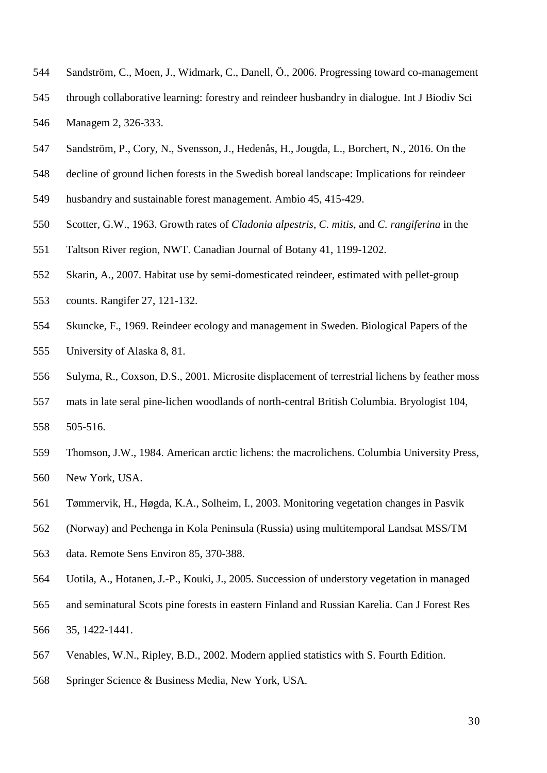- <span id="page-29-0"></span>Sandström, C., Moen, J., Widmark, C., Danell, Ö., 2006. Progressing toward co-management
- through collaborative learning: forestry and reindeer husbandry in dialogue. Int J Biodiv Sci Managem 2, 326-333.
- <span id="page-29-1"></span>Sandström, P., Cory, N., Svensson, J., Hedenås, H., Jougda, L., Borchert, N., 2016. On the
- decline of ground lichen forests in the Swedish boreal landscape: Implications for reindeer
- husbandry and sustainable forest management. Ambio 45, 415-429.
- <span id="page-29-5"></span>Scotter, G.W., 1963. Growth rates of *Cladonia alpestris*, *C. mitis*, and *C. rangiferina* in the
- Taltson River region, NWT. Canadian Journal of Botany 41, 1199-1202.
- <span id="page-29-6"></span>Skarin, A., 2007. Habitat use by semi-domesticated reindeer, estimated with pellet-group
- counts. Rangifer 27, 121-132.
- <span id="page-29-7"></span> Skuncke, F., 1969. Reindeer ecology and management in Sweden. Biological Papers of the University of Alaska 8, 81.
- <span id="page-29-9"></span>Sulyma, R., Coxson, D.S., 2001. Microsite displacement of terrestrial lichens by feather moss
- mats in late seral pine-lichen woodlands of north-central British Columbia. Bryologist 104, 505-516.
- <span id="page-29-4"></span> Thomson, J.W., 1984. American arctic lichens: the macrolichens. Columbia University Press, New York, USA.
- <span id="page-29-3"></span>Tømmervik, H., Høgda, K.A., Solheim, I., 2003. Monitoring vegetation changes in Pasvik
- (Norway) and Pechenga in Kola Peninsula (Russia) using multitemporal Landsat MSS/TM
- data. Remote Sens Environ 85, 370-388.
- <span id="page-29-2"></span>Uotila, A., Hotanen, J.-P., Kouki, J., 2005. Succession of understory vegetation in managed
- and seminatural Scots pine forests in eastern Finland and Russian Karelia. Can J Forest Res 35, 1422-1441.
- <span id="page-29-8"></span>Venables, W.N., Ripley, B.D., 2002. Modern applied statistics with S. Fourth Edition.
- Springer Science & Business Media, New York, USA.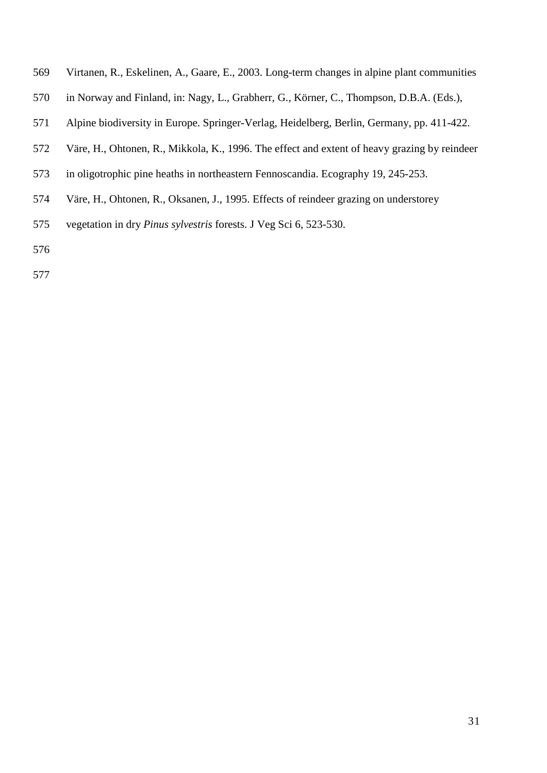- <span id="page-30-0"></span>Virtanen, R., Eskelinen, A., Gaare, E., 2003. Long-term changes in alpine plant communities
- in Norway and Finland, in: Nagy, L., Grabherr, G., Körner, C., Thompson, D.B.A. (Eds.),
- Alpine biodiversity in Europe. Springer-Verlag, Heidelberg, Berlin, Germany, pp. 411-422.
- <span id="page-30-1"></span>Väre, H., Ohtonen, R., Mikkola, K., 1996. The effect and extent of heavy grazing by reindeer
- in oligotrophic pine heaths in northeastern Fennoscandia. Ecography 19, 245-253.
- <span id="page-30-2"></span>Väre, H., Ohtonen, R., Oksanen, J., 1995. Effects of reindeer grazing on understorey
- vegetation in dry *Pinus sylvestris* forests. J Veg Sci 6, 523-530.
- 
-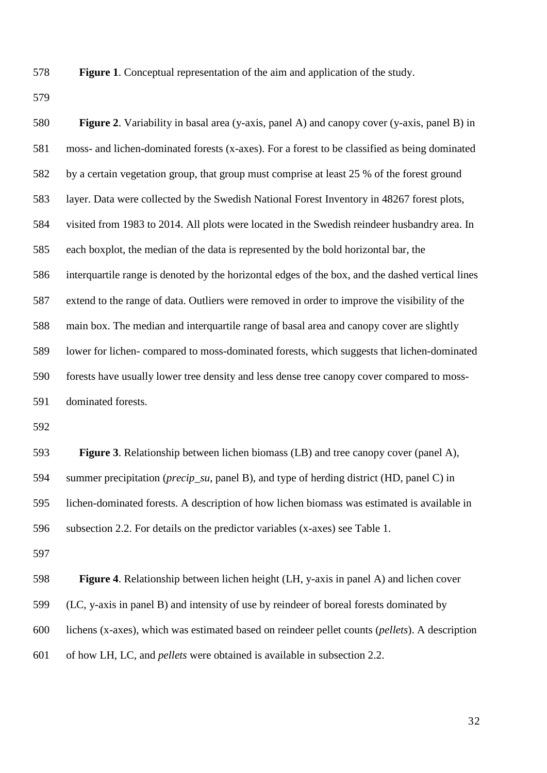**Figure 1**. Conceptual representation of the aim and application of the study.

| <b>Figure 2.</b> Variability in basal area (y-axis, panel A) and canopy cover (y-axis, panel B) in |
|----------------------------------------------------------------------------------------------------|
| moss- and lichen-dominated forests (x-axes). For a forest to be classified as being dominated      |
| by a certain vegetation group, that group must comprise at least 25 % of the forest ground         |
| layer. Data were collected by the Swedish National Forest Inventory in 48267 forest plots,         |
| visited from 1983 to 2014. All plots were located in the Swedish reindeer husbandry area. In       |
| each boxplot, the median of the data is represented by the bold horizontal bar, the                |
| interquartile range is denoted by the horizontal edges of the box, and the dashed vertical lines   |
| extend to the range of data. Outliers were removed in order to improve the visibility of the       |
| main box. The median and interquartile range of basal area and canopy cover are slightly           |
| lower for lichen-compared to moss-dominated forests, which suggests that lichen-dominated          |
| forests have usually lower tree density and less dense tree canopy cover compared to moss-         |
| dominated forests.                                                                                 |
|                                                                                                    |
| <b>Figure 3.</b> Relationship between lichen biomass (LB) and tree canopy cover (panel A),         |
| summer precipitation ( <i>precip_su</i> , panel B), and type of herding district (HD, panel C) in  |
| lichen-dominated forests. A description of how lichen biomass was estimated is available in        |
| subsection 2.2. For details on the predictor variables (x-axes) see Table 1.                       |
|                                                                                                    |
| <b>Figure 4.</b> Relationship between lichen height (LH, y-axis in panel A) and lichen cover       |
| (LC, y-axis in panel B) and intensity of use by reindeer of boreal forests dominated by            |
| lichens (x-axes), which was estimated based on reindeer pellet counts (pellets). A description     |
|                                                                                                    |

of how LH, LC, and *pellets* were obtained is available in subsection [2.2.](#page-7-1)